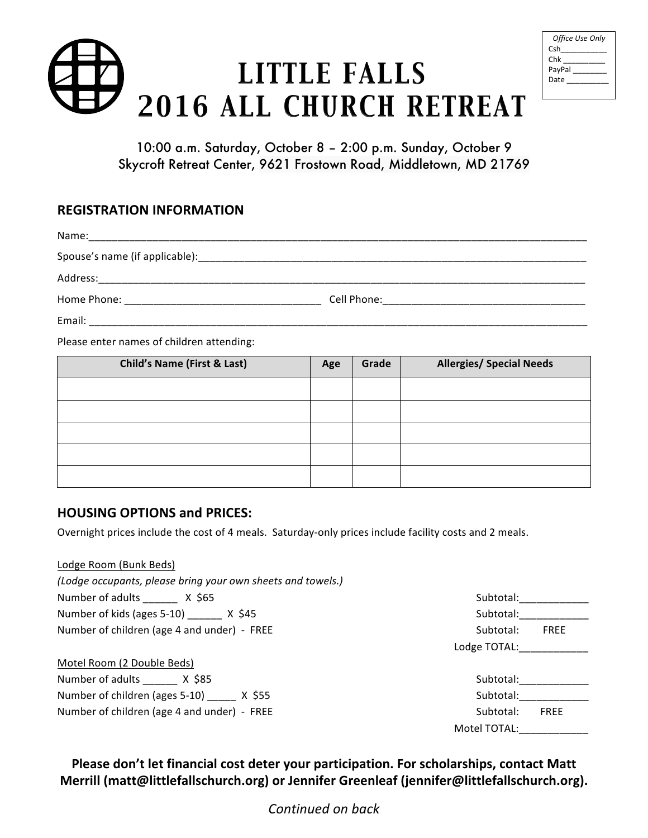## LITTLE FALLS 2016 ALL CHURCH RETREAT

| Office Use Only |
|-----------------|
| Csh             |
| Chk             |
| PayPal          |
| Date            |
|                 |

10:00 a.m. Saturday, October 8 – 2:00 p.m. Sunday, October 9 Skycroft Retreat Center, 9621 Frostown Road, Middletown, MD 21769

## **REGISTRATION INFORMATION**

| Name:                                                                                                                                                                                                                          |  |
|--------------------------------------------------------------------------------------------------------------------------------------------------------------------------------------------------------------------------------|--|
|                                                                                                                                                                                                                                |  |
| Address:                                                                                                                                                                                                                       |  |
| Home Phone: The Contract of the Contract of the Contract of the Contract of the Contract of the Contract of the Contract of the Contract of the Contract of the Contract of the Contract of the Contract of the Contract of th |  |
| Email:                                                                                                                                                                                                                         |  |

Please enter names of children attending:

| <b>Child's Name (First &amp; Last)</b> | Age | Grade | <b>Allergies/ Special Needs</b> |
|----------------------------------------|-----|-------|---------------------------------|
|                                        |     |       |                                 |
|                                        |     |       |                                 |
|                                        |     |       |                                 |
|                                        |     |       |                                 |
|                                        |     |       |                                 |

## **HOUSING OPTIONS and PRICES:**

Overnight prices include the cost of 4 meals. Saturday-only prices include facility costs and 2 meals.

| Lodge Room (Bunk Beds)                                      |              |             |
|-------------------------------------------------------------|--------------|-------------|
| (Lodge occupants, please bring your own sheets and towels.) |              |             |
| Number of adults X \$65                                     | Subtotal:    |             |
| Number of kids (ages 5-10) X \$45                           | Subtotal:    |             |
| Number of children (age 4 and under) - FREE                 | Subtotal:    | <b>FREE</b> |
|                                                             | Lodge TOTAL: |             |
| Motel Room (2 Double Beds)                                  |              |             |
| Number of adults X \$85                                     | Subtotal:    |             |
| Number of children (ages $5-10$ ) X \$55                    | Subtotal:    |             |
| Number of children (age 4 and under) - FREE                 | Subtotal:    | <b>FREE</b> |
|                                                             | Motel TOTAL: |             |

Please don't let financial cost deter your participation. For scholarships, contact Matt Merrill (matt@littlefallschurch.org) or Jennifer Greenleaf (jennifer@littlefallschurch.org).

*Continued on back*